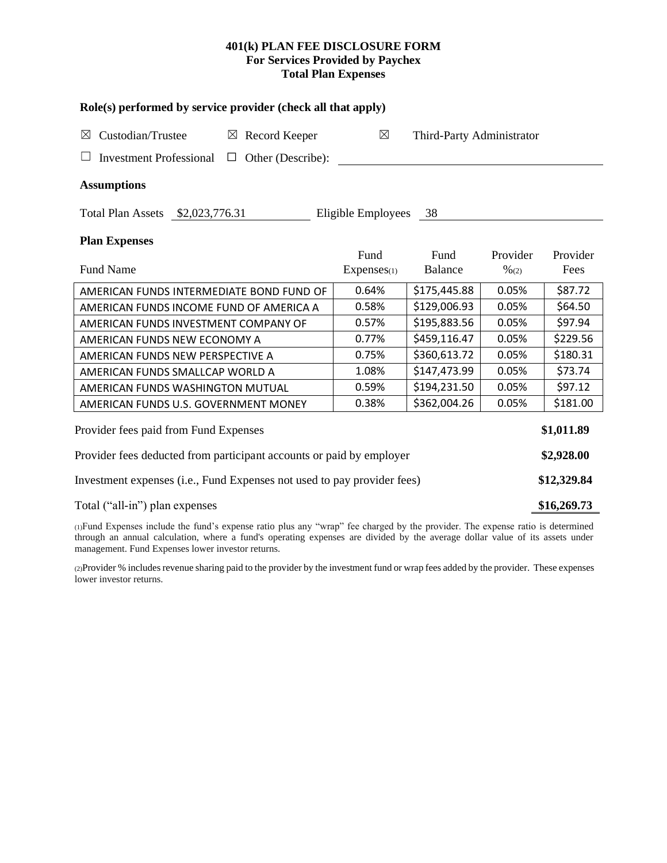# **401(k) PLAN FEE DISCLOSURE FORM For Services Provided by Paychex Total Plan Expenses**

| Role(s) performed by service provider (check all that apply)            |                       |                           |                              |                  |  |  |  |  |  |
|-------------------------------------------------------------------------|-----------------------|---------------------------|------------------------------|------------------|--|--|--|--|--|
| Custodian/Trustee<br>$\boxtimes$<br>$\boxtimes$ Record Keeper           | $\boxtimes$           | Third-Party Administrator |                              |                  |  |  |  |  |  |
| Other (Describe):<br><b>Investment Professional</b><br>$\Box$           |                       |                           |                              |                  |  |  |  |  |  |
| <b>Assumptions</b>                                                      |                       |                           |                              |                  |  |  |  |  |  |
| Total Plan Assets \$2,023,776.31                                        | Eligible Employees 38 |                           |                              |                  |  |  |  |  |  |
| <b>Plan Expenses</b>                                                    |                       |                           |                              |                  |  |  |  |  |  |
| <b>Fund Name</b>                                                        | Fund<br>Expenses(1)   | Fund<br><b>Balance</b>    | Provider<br>$\frac{9}{6(2)}$ | Provider<br>Fees |  |  |  |  |  |
| AMERICAN FUNDS INTERMEDIATE BOND FUND OF                                | 0.64%                 | \$175,445.88              | 0.05%                        | \$87.72          |  |  |  |  |  |
| AMERICAN FUNDS INCOME FUND OF AMERICA A                                 | 0.58%                 | \$129,006.93              | 0.05%                        | \$64.50          |  |  |  |  |  |
| AMERICAN FUNDS INVESTMENT COMPANY OF                                    | 0.57%                 | \$195,883.56              | 0.05%                        | \$97.94          |  |  |  |  |  |
| AMERICAN FUNDS NEW ECONOMY A                                            | 0.77%                 | \$459,116.47              | 0.05%                        | \$229.56         |  |  |  |  |  |
| AMERICAN FUNDS NEW PERSPECTIVE A                                        | 0.75%                 | \$360,613.72              | 0.05%                        | \$180.31         |  |  |  |  |  |
| AMERICAN FUNDS SMALLCAP WORLD A                                         | 1.08%                 | \$147,473.99              | 0.05%                        | \$73.74          |  |  |  |  |  |
| AMERICAN FUNDS WASHINGTON MUTUAL                                        | 0.59%                 | \$194,231.50              | 0.05%                        | \$97.12          |  |  |  |  |  |
| AMERICAN FUNDS U.S. GOVERNMENT MONEY                                    | 0.38%                 | \$362,004.26              | 0.05%                        | \$181.00         |  |  |  |  |  |
| \$1,011.89<br>Provider fees paid from Fund Expenses                     |                       |                           |                              |                  |  |  |  |  |  |
| Provider fees deducted from participant accounts or paid by employer    |                       |                           |                              |                  |  |  |  |  |  |
| Investment expenses (i.e., Fund Expenses not used to pay provider fees) |                       |                           |                              |                  |  |  |  |  |  |
| Total ("all-in") plan expenses                                          |                       |                           |                              |                  |  |  |  |  |  |

(1)Fund Expenses include the fund's expense ratio plus any "wrap" fee charged by the provider. The expense ratio is determined through an annual calculation, where a fund's operating expenses are divided by the average dollar value of its assets under management. Fund Expenses lower investor returns.

(2)Provider % includes revenue sharing paid to the provider by the investment fund or wrap fees added by the provider. These expenses lower investor returns.